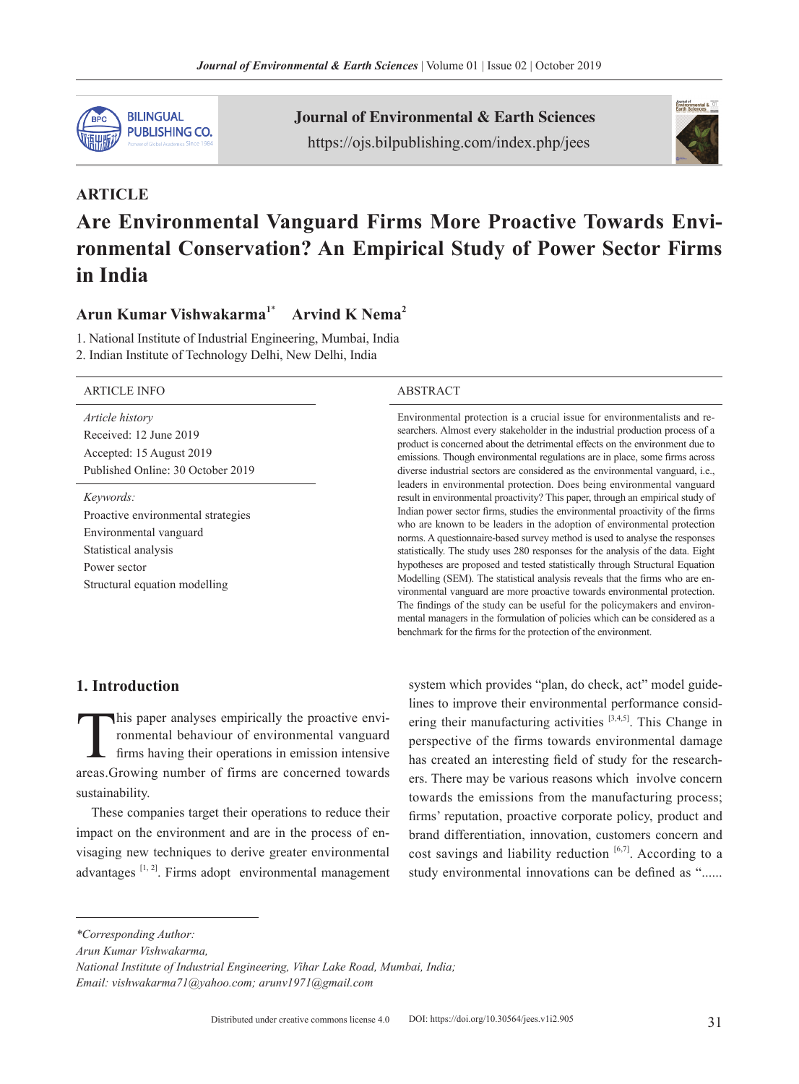

**ARTICLE**

Journal of Environmental & Earth Sciences https://ojs.bilpublishing.com/index.php/jees



# **Are Environmental Vanguard Firms More Proactive Towards Environmental Conservation? An Empirical Study of Power Sector Firms in India**

# **Arun Kumar Vishwakarma<sup>1</sup>**\* **Arvind K Nema<sup>2</sup>**

1. National Institute of Industrial Engineering, Mumbai, India

2. Indian Institute of Technology Delhi, New Delhi, India

#### ARTICLE INFO ABSTRACT

*Article history* Received: 12 June 2019 Accepted: 15 August 2019 Published Online: 30 October 2019

*Keywords:* Proactive environmental strategies Environmental vanguard Statistical analysis Power sector Structural equation modelling

Environmental protection is a crucial issue for environmentalists and researchers. Almost every stakeholder in the industrial production process of a product is concerned about the detrimental effects on the environment due to emissions. Though environmental regulations are in place, some firms across diverse industrial sectors are considered as the environmental vanguard, i.e., leaders in environmental protection. Does being environmental vanguard result in environmental proactivity? This paper, through an empirical study of Indian power sector firms, studies the environmental proactivity of the firms who are known to be leaders in the adoption of environmental protection norms. A questionnaire-based survey method is used to analyse the responses statistically. The study uses 280 responses for the analysis of the data. Eight hypotheses are proposed and tested statistically through Structural Equation Modelling (SEM). The statistical analysis reveals that the firms who are environmental vanguard are more proactive towards environmental protection. The findings of the study can be useful for the policymakers and environmental managers in the formulation of policies which can be considered as a benchmark for the firms for the protection of the environment.

# **1. Introduction**

This paper analyses empirically the proactive environmental behaviour of environmental vanguard<br>firms having their operations in emission intensive<br>areas Growing number of firms are concerned towards ronmental behaviour of environmental vanguard firms having their operations in emission intensive areas.Growing number of firms are concerned towards sustainability.

These companies target their operations to reduce their impact on the environment and are in the process of envisaging new techniques to derive greater environmental advantages [1, 2]. Firms adopt environmental management

system which provides "plan, do check, act" model guidelines to improve their environmental performance considering their manufacturing activities [3,4,5]. This Change in perspective of the firms towards environmental damage has created an interesting field of study for the researchers. There may be various reasons which involve concern towards the emissions from the manufacturing process; firms' reputation, proactive corporate policy, product and brand differentiation, innovation, customers concern and cost savings and liability reduction  $[6,7]$ . According to a study environmental innovations can be defined as "......

*Arun Kumar Vishwakarma,*

*<sup>\*</sup>Corresponding Author:*

*National Institute of Industrial Engineering, Vihar Lake Road, Mumbai, India; Email: vishwakarma71@yahoo.com; arunv1971@gmail.com*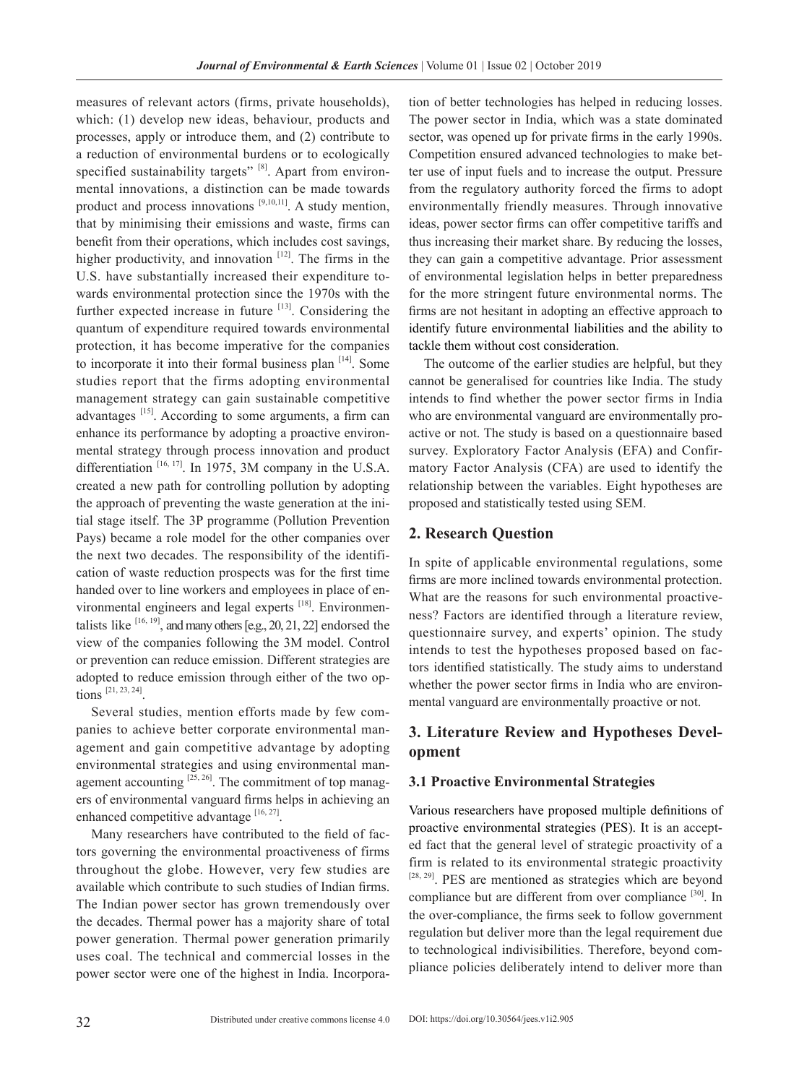measures of relevant actors (firms, private households), which: (1) develop new ideas, behaviour, products and processes, apply or introduce them, and (2) contribute to a reduction of environmental burdens or to ecologically specified sustainability targets"  $[8]$ . Apart from environmental innovations, a distinction can be made towards product and process innovations <sup>[9,10,11]</sup>. A study mention, that by minimising their emissions and waste, firms can benefit from their operations, which includes cost savings, higher productivity, and innovation  $[12]$ . The firms in the U.S. have substantially increased their expenditure towards environmental protection since the 1970s with the further expected increase in future  $[13]$ . Considering the quantum of expenditure required towards environmental protection, it has become imperative for the companies to incorporate it into their formal business plan [14]. Some studies report that the firms adopting environmental management strategy can gain sustainable competitive advantages [15]. According to some arguments, a firm can enhance its performance by adopting a proactive environmental strategy through process innovation and product differentiation [16, 17]. In 1975, 3M company in the U.S.A. created a new path for controlling pollution by adopting the approach of preventing the waste generation at the initial stage itself. The 3P programme (Pollution Prevention Pays) became a role model for the other companies over the next two decades. The responsibility of the identification of waste reduction prospects was for the first time handed over to line workers and employees in place of environmental engineers and legal experts [18]. Environmentalists like  $[16, 19]$ , and many others [e.g., 20, 21, 22] endorsed the view of the companies following the 3M model. Control or prevention can reduce emission. Different strategies are adopted to reduce emission through either of the two options [21, 23, 24].

Several studies, mention efforts made by few companies to achieve better corporate environmental management and gain competitive advantage by adopting environmental strategies and using environmental management accounting  $[25, 26]$ . The commitment of top managers of environmental vanguard firms helps in achieving an enhanced competitive advantage  $[16, 27]$ .

Many researchers have contributed to the field of factors governing the environmental proactiveness of firms throughout the globe. However, very few studies are available which contribute to such studies of Indian firms. The Indian power sector has grown tremendously over the decades. Thermal power has a majority share of total power generation. Thermal power generation primarily uses coal. The technical and commercial losses in the power sector were one of the highest in India. Incorpora-

tion of better technologies has helped in reducing losses. The power sector in India, which was a state dominated sector, was opened up for private firms in the early 1990s. Competition ensured advanced technologies to make better use of input fuels and to increase the output. Pressure from the regulatory authority forced the firms to adopt environmentally friendly measures. Through innovative ideas, power sector firms can offer competitive tariffs and thus increasing their market share. By reducing the losses, they can gain a competitive advantage. Prior assessment of environmental legislation helps in better preparedness for the more stringent future environmental norms. The firms are not hesitant in adopting an effective approach to identify future environmental liabilities and the ability to tackle them without cost consideration.

The outcome of the earlier studies are helpful, but they cannot be generalised for countries like India. The study intends to find whether the power sector firms in India who are environmental vanguard are environmentally proactive or not. The study is based on a questionnaire based survey. Exploratory Factor Analysis (EFA) and Confirmatory Factor Analysis (CFA) are used to identify the relationship between the variables. Eight hypotheses are proposed and statistically tested using SEM.

## **2. Research Question**

In spite of applicable environmental regulations, some firms are more inclined towards environmental protection. What are the reasons for such environmental proactiveness? Factors are identified through a literature review, questionnaire survey, and experts' opinion. The study intends to test the hypotheses proposed based on factors identified statistically. The study aims to understand whether the power sector firms in India who are environmental vanguard are environmentally proactive or not.

# **3. Literature Review and Hypotheses Development**

#### **3.1 Proactive Environmental Strategies**

Various researchers have proposed multiple definitions of proactive environmental strategies (PES). It is an accepted fact that the general level of strategic proactivity of a firm is related to its environmental strategic proactivity [28, 29]. PES are mentioned as strategies which are beyond compliance but are different from over compliance [30]. In the over-compliance, the firms seek to follow government regulation but deliver more than the legal requirement due to technological indivisibilities. Therefore, beyond compliance policies deliberately intend to deliver more than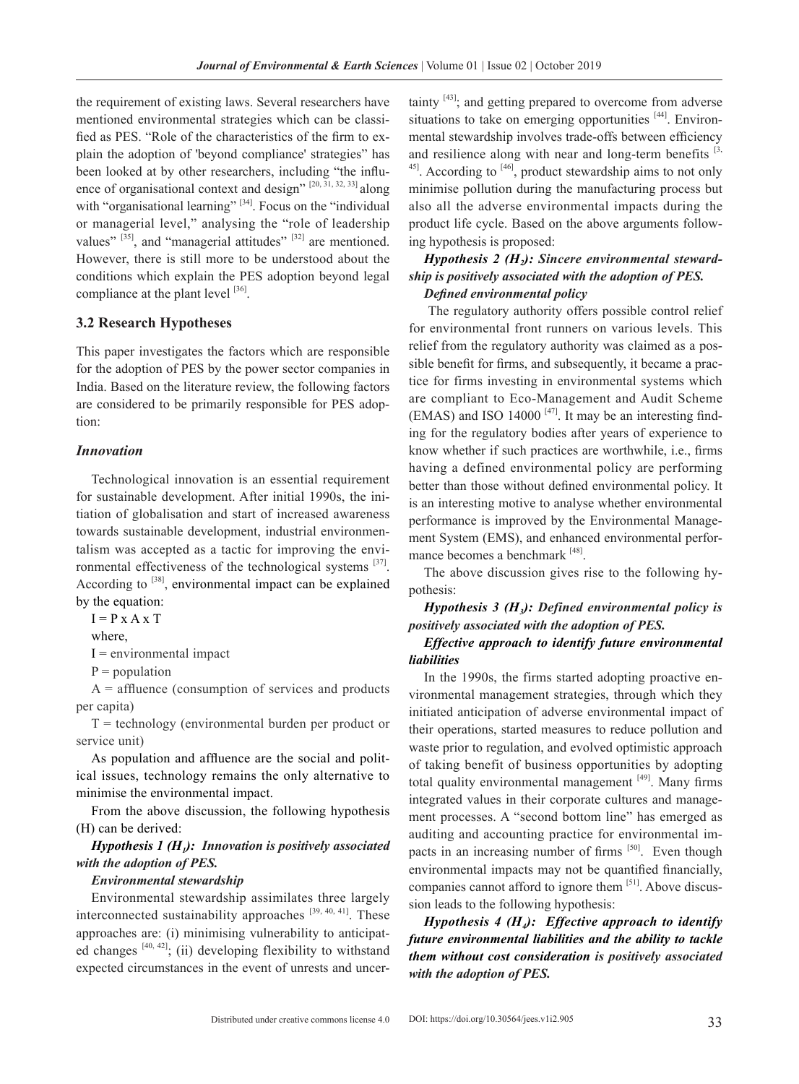the requirement of existing laws. Several researchers have mentioned environmental strategies which can be classified as PES. "Role of the characteristics of the firm to explain the adoption of 'beyond compliance' strategies" has been looked at by other researchers, including "the influence of organisational context and design"  $[20, 31, 32, 33]$  along with "organisational learning" <sup>[34]</sup>. Focus on the "individual or managerial level," analysing the "role of leadership values"  $[35]$ , and "managerial attitudes"  $[32]$  are mentioned. However, there is still more to be understood about the conditions which explain the PES adoption beyond legal compliance at the plant level  $^{[36]}$ .

#### **3.2 Research Hypotheses**

This paper investigates the factors which are responsible for the adoption of PES by the power sector companies in India. Based on the literature review, the following factors are considered to be primarily responsible for PES adoption:

#### *Innovation*

Technological innovation is an essential requirement for sustainable development. After initial 1990s, the initiation of globalisation and start of increased awareness towards sustainable development, industrial environmentalism was accepted as a tactic for improving the environmental effectiveness of the technological systems [37]. According to  $[38]$ , environmental impact can be explained by the equation:

 $I = P$  x A x T

where,

 $I =$  environmental impact

 $P = population$ 

 $A =$  affluence (consumption of services and products per capita)

 $T = \text{technology}$  (environmental burden per product or service unit)

As population and affluence are the social and political issues, technology remains the only alternative to minimise the environmental impact.

From the above discussion, the following hypothesis (H) can be derived:

*Hypothesis 1 (H<sub>1</sub>): Innovation is positively associated with the adoption of PES.*

#### *Environmental stewardship*

Environmental stewardship assimilates three largely interconnected sustainability approaches  $[39, 40, 41]$ . These approaches are: (i) minimising vulnerability to anticipated changes  $[40, 42]$ ; (ii) developing flexibility to withstand expected circumstances in the event of unrests and uncer-

tainty  $[43]$ ; and getting prepared to overcome from adverse situations to take on emerging opportunities  $[44]$ . Environmental stewardship involves trade-offs between efficiency and resilience along with near and long-term benefits  $[3, 3]$  $^{45}$ . According to  $^{[46]}$ , product stewardship aims to not only minimise pollution during the manufacturing process but also all the adverse environmental impacts during the product life cycle. Based on the above arguments following hypothesis is proposed:

#### *Hypothesis 2 (H<sub>2</sub>): Sincere environmental stewardship is positively associated with the adoption of PES. Defined environmental policy*

 The regulatory authority offers possible control relief for environmental front runners on various levels. This relief from the regulatory authority was claimed as a possible benefit for firms, and subsequently, it became a practice for firms investing in environmental systems which are compliant to Eco-Management and Audit Scheme (EMAS) and ISO 14000  $^{[47]}$ . It may be an interesting finding for the regulatory bodies after years of experience to know whether if such practices are worthwhile, i.e., firms having a defined environmental policy are performing better than those without defined environmental policy. It is an interesting motive to analyse whether environmental performance is improved by the Environmental Management System (EMS), and enhanced environmental performance becomes a benchmark [48].

The above discussion gives rise to the following hypothesis:

# *Hypothesis 3 (H3): Defined environmental policy is positively associated with the adoption of PES.*

*Effective approach to identify future environmental liabilities*

In the 1990s, the firms started adopting proactive environmental management strategies, through which they initiated anticipation of adverse environmental impact of their operations, started measures to reduce pollution and waste prior to regulation, and evolved optimistic approach of taking benefit of business opportunities by adopting total quality environmental management  $[49]$ . Many firms integrated values in their corporate cultures and management processes. A "second bottom line" has emerged as auditing and accounting practice for environmental impacts in an increasing number of firms [50]. Even though environmental impacts may not be quantified financially, companies cannot afford to ignore them [51]. Above discussion leads to the following hypothesis:

*Hypothesis 4 (H4): Effective approach to identify future environmental liabilities and the ability to tackle them without cost consideration is positively associated with the adoption of PES.*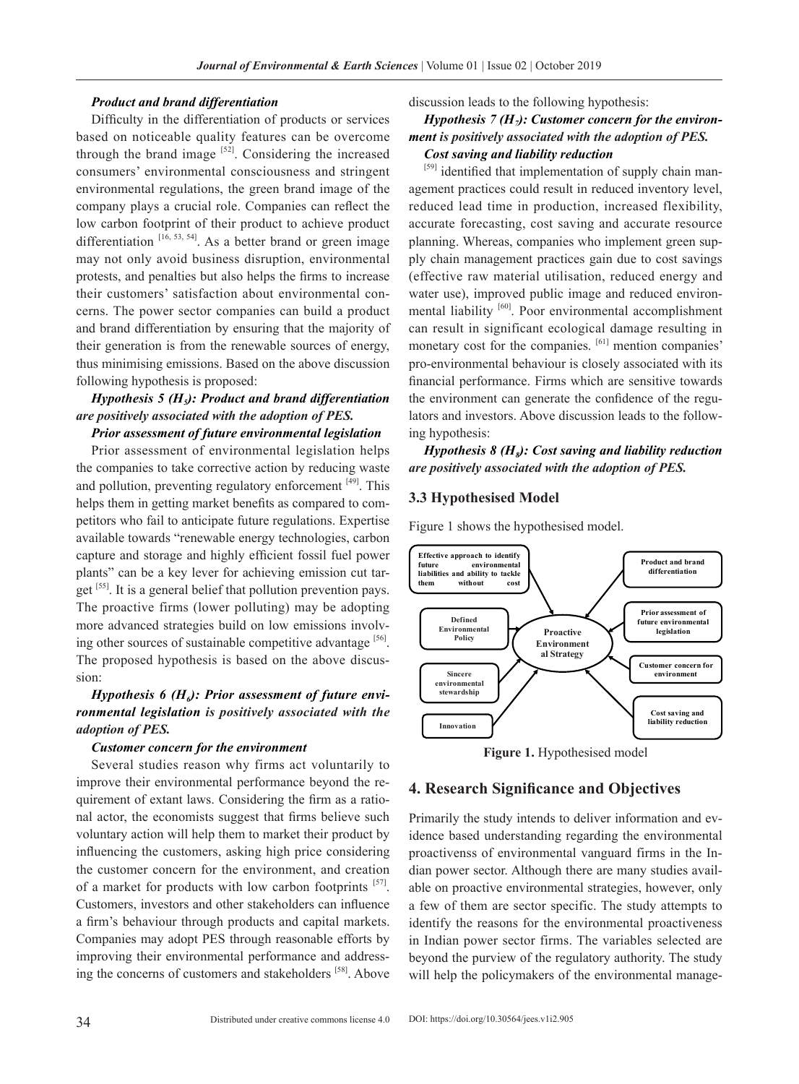#### *Product and brand differentiation*

Difficulty in the differentiation of products or services based on noticeable quality features can be overcome through the brand image  $[52]$ . Considering the increased consumers' environmental consciousness and stringent environmental regulations, the green brand image of the company plays a crucial role. Companies can reflect the low carbon footprint of their product to achieve product differentiation  $[16, 53, 54]$ . As a better brand or green image may not only avoid business disruption, environmental protests, and penalties but also helps the firms to increase their customers' satisfaction about environmental concerns. The power sector companies can build a product and brand differentiation by ensuring that the majority of their generation is from the renewable sources of energy, thus minimising emissions. Based on the above discussion following hypothesis is proposed:

# *Hypothesis 5 (H<sub>5</sub>): Product and brand differentiation are positively associated with the adoption of PES.*

#### *Prior assessment of future environmental legislation*

Prior assessment of environmental legislation helps the companies to take corrective action by reducing waste and pollution, preventing regulatory enforcement [49]. This helps them in getting market benefits as compared to competitors who fail to anticipate future regulations. Expertise available towards "renewable energy technologies, carbon capture and storage and highly efficient fossil fuel power plants" can be a key lever for achieving emission cut target <sup>[55]</sup>. It is a general belief that pollution prevention pays. The proactive firms (lower polluting) may be adopting more advanced strategies build on low emissions involving other sources of sustainable competitive advantage [56]. The proposed hypothesis is based on the above discussion:

# *Hypothesis 6 (H<sub>6</sub>): Prior assessment of future environmental legislation is positively associated with the adoption of PES.*

#### *Customer concern for the environment*

Several studies reason why firms act voluntarily to improve their environmental performance beyond the requirement of extant laws. Considering the firm as a rational actor, the economists suggest that firms believe such voluntary action will help them to market their product by influencing the customers, asking high price considering the customer concern for the environment, and creation of a market for products with low carbon footprints [57]. Customers, investors and other stakeholders can influence a firm's behaviour through products and capital markets. Companies may adopt PES through reasonable efforts by improving their environmental performance and addressing the concerns of customers and stakeholders [58]. Above discussion leads to the following hypothesis:

# *Hypothesis 7 (H<sub>7</sub>): Customer concern for the environment is positively associated with the adoption of PES.*

#### *Cost saving and liability reduction*

 $[59]$  identified that implementation of supply chain management practices could result in reduced inventory level, reduced lead time in production, increased flexibility, accurate forecasting, cost saving and accurate resource planning. Whereas, companies who implement green supply chain management practices gain due to cost savings (effective raw material utilisation, reduced energy and water use), improved public image and reduced environmental liability [60]. Poor environmental accomplishment can result in significant ecological damage resulting in monetary cost for the companies. <sup>[61]</sup> mention companies' pro-environmental behaviour is closely associated with its financial performance. Firms which are sensitive towards the environment can generate the confidence of the regulators and investors. Above discussion leads to the following hypothesis:

*Hypothesis 8 (H8): Cost saving and liability reduction are positively associated with the adoption of PES.*

#### **3.3 Hypothesised Model**

Figure 1 shows the hypothesised model.



**Figure 1.** Hypothesised model

#### **4. Research Significance and Objectives**

Primarily the study intends to deliver information and evidence based understanding regarding the environmental proactivenss of environmental vanguard firms in the Indian power sector. Although there are many studies available on proactive environmental strategies, however, only a few of them are sector specific. The study attempts to identify the reasons for the environmental proactiveness in Indian power sector firms. The variables selected are beyond the purview of the regulatory authority. The study will help the policymakers of the environmental manage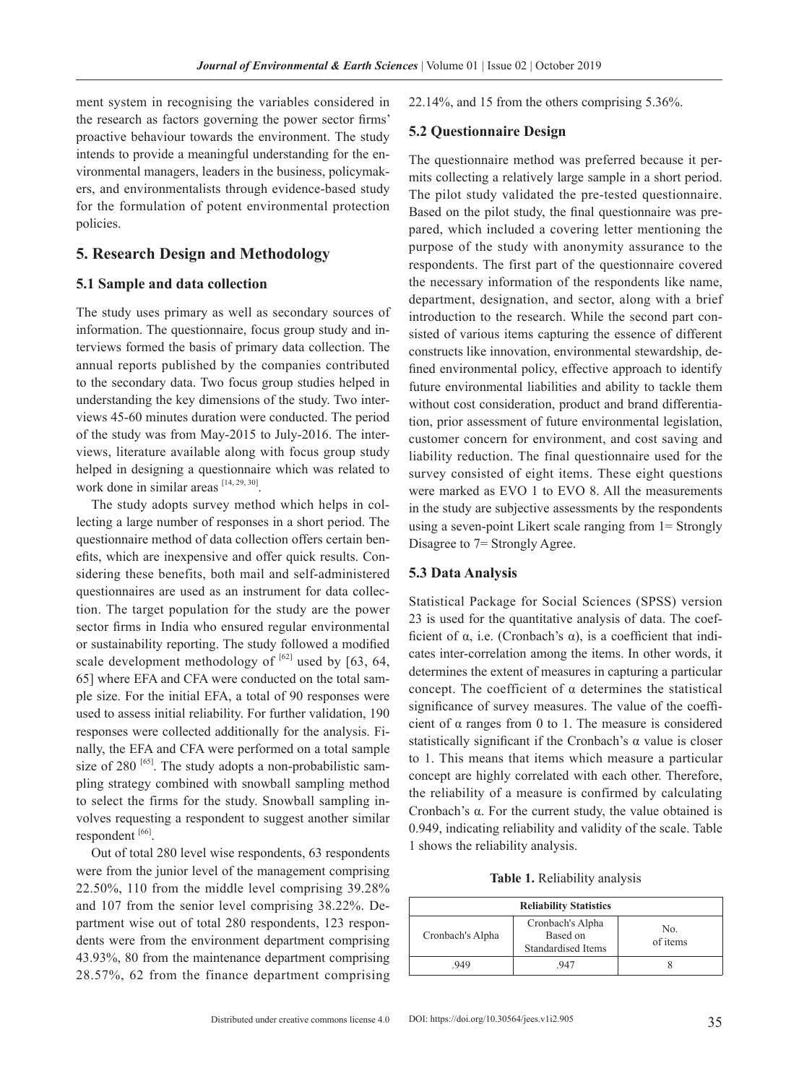ment system in recognising the variables considered in the research as factors governing the power sector firms' proactive behaviour towards the environment. The study intends to provide a meaningful understanding for the environmental managers, leaders in the business, policymakers, and environmentalists through evidence-based study for the formulation of potent environmental protection policies.

### **5. Research Design and Methodology**

#### **5.1 Sample and data collection**

The study uses primary as well as secondary sources of information. The questionnaire, focus group study and interviews formed the basis of primary data collection. The annual reports published by the companies contributed to the secondary data. Two focus group studies helped in understanding the key dimensions of the study. Two interviews 45-60 minutes duration were conducted. The period of the study was from May-2015 to July-2016. The interviews, literature available along with focus group study helped in designing a questionnaire which was related to work done in similar areas [14, 29, 30].

The study adopts survey method which helps in collecting a large number of responses in a short period. The questionnaire method of data collection offers certain benefits, which are inexpensive and offer quick results. Considering these benefits, both mail and self-administered questionnaires are used as an instrument for data collection. The target population for the study are the power sector firms in India who ensured regular environmental or sustainability reporting. The study followed a modified scale development methodology of  $[62]$  used by  $[63, 64]$ . 65] where EFA and CFA were conducted on the total sample size. For the initial EFA, a total of 90 responses were used to assess initial reliability. For further validation, 190 responses were collected additionally for the analysis. Finally, the EFA and CFA were performed on a total sample size of  $280^{65}$ . The study adopts a non-probabilistic sampling strategy combined with snowball sampling method to select the firms for the study. Snowball sampling involves requesting a respondent to suggest another similar respondent [66].

Out of total 280 level wise respondents, 63 respondents were from the junior level of the management comprising 22.50%, 110 from the middle level comprising 39.28% and 107 from the senior level comprising 38.22%. Department wise out of total 280 respondents, 123 respondents were from the environment department comprising 43.93%, 80 from the maintenance department comprising 28.57%, 62 from the finance department comprising 22.14%, and 15 from the others comprising 5.36%.

#### **5.2 Questionnaire Design**

The questionnaire method was preferred because it permits collecting a relatively large sample in a short period. The pilot study validated the pre-tested questionnaire. Based on the pilot study, the final questionnaire was prepared, which included a covering letter mentioning the purpose of the study with anonymity assurance to the respondents. The first part of the questionnaire covered the necessary information of the respondents like name, department, designation, and sector, along with a brief introduction to the research. While the second part consisted of various items capturing the essence of different constructs like innovation, environmental stewardship, defined environmental policy, effective approach to identify future environmental liabilities and ability to tackle them without cost consideration, product and brand differentiation, prior assessment of future environmental legislation, customer concern for environment, and cost saving and liability reduction. The final questionnaire used for the survey consisted of eight items. These eight questions were marked as EVO 1 to EVO 8. All the measurements in the study are subjective assessments by the respondents using a seven-point Likert scale ranging from 1= Strongly Disagree to 7= Strongly Agree.

#### **5.3 Data Analysis**

Statistical Package for Social Sciences (SPSS) version 23 is used for the quantitative analysis of data. The coefficient of  $\alpha$ , i.e. (Cronbach's  $\alpha$ ), is a coefficient that indicates inter-correlation among the items. In other words, it determines the extent of measures in capturing a particular concept. The coefficient of  $\alpha$  determines the statistical significance of survey measures. The value of the coefficient of α ranges from 0 to 1. The measure is considered statistically significant if the Cronbach's α value is closer to 1. This means that items which measure a particular concept are highly correlated with each other. Therefore, the reliability of a measure is confirmed by calculating Cronbach's α. For the current study, the value obtained is 0.949, indicating reliability and validity of the scale. Table 1 shows the reliability analysis.

**Table 1.** Reliability analysis

| <b>Reliability Statistics</b> |                                                    |                 |  |  |  |
|-------------------------------|----------------------------------------------------|-----------------|--|--|--|
| Cronbach's Alpha              | Cronbach's Alpha<br>Based on<br>Standardised Items | No.<br>of items |  |  |  |
| 949                           | 947                                                |                 |  |  |  |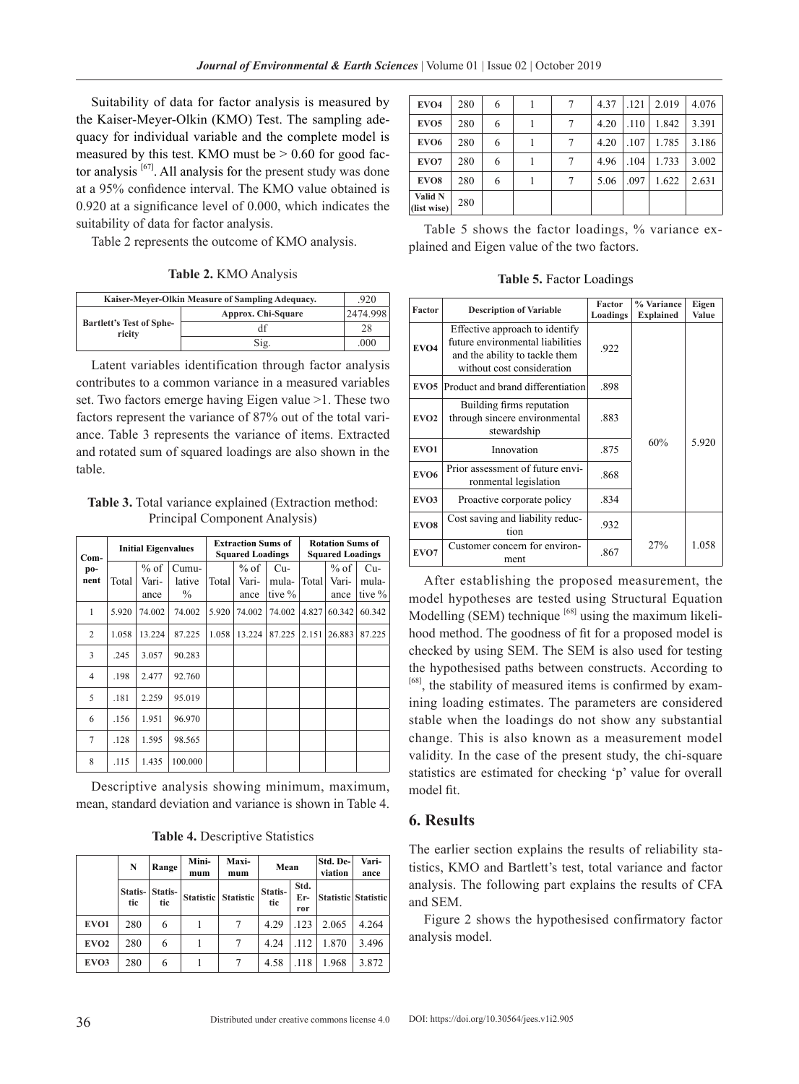Suitability of data for factor analysis is measured by the Kaiser-Meyer-Olkin (KMO) Test. The sampling adequacy for individual variable and the complete model is measured by this test. KMO must be  $> 0.60$  for good factor analysis [67]. All analysis for the present study was done at a 95% confidence interval. The KMO value obtained is 0.920 at a significance level of 0.000, which indicates the suitability of data for factor analysis.

Table 2 represents the outcome of KMO analysis.

|  |  | Table 2. KMO Analysis |  |  |
|--|--|-----------------------|--|--|
|--|--|-----------------------|--|--|

| Kaiser-Meyer-Olkin Measure of Sampling Adequacy. |                    |          |
|--------------------------------------------------|--------------------|----------|
| <b>Bartlett's Test of Sphe-</b><br>ricity        | Approx. Chi-Square | 2474.998 |
|                                                  | df                 | 28       |
|                                                  | Sig.               | .000     |

Latent variables identification through factor analysis contributes to a common variance in a measured variables set. Two factors emerge having Eigen value >1. These two factors represent the variance of 87% out of the total variance. Table 3 represents the variance of items. Extracted and rotated sum of squared loadings are also shown in the table.

**Table 3.** Total variance explained (Extraction method: Principal Component Analysis)

| $Com-$<br>po-<br>nent |       | <b>Initial Eigenvalues</b> |                                  |       | <b>Extraction Sums of</b><br><b>Squared Loadings</b> |                          | <b>Rotation Sums of</b><br><b>Squared Loadings</b> |                         |                            |
|-----------------------|-------|----------------------------|----------------------------------|-------|------------------------------------------------------|--------------------------|----------------------------------------------------|-------------------------|----------------------------|
|                       | Total | $%$ of<br>Vari-<br>ance    | Cumu-<br>lative<br>$\frac{0}{0}$ | Total | $%$ of<br>Vari-<br>ance                              | $Cu-$<br>mula-<br>tive % | Total                                              | $%$ of<br>Vari-<br>ance | $Cu-$<br>mula-<br>tive $%$ |
| 1                     | 5.920 | 74.002                     | 74.002                           | 5.920 | 74.002                                               | 74.002                   | 4.827                                              | 60.342                  | 60.342                     |
| $\overline{c}$        | 1.058 | 13.224                     | 87.225                           | 1.058 | 13.224                                               | 87.225                   | 2.151                                              | 26.883                  | 87.225                     |
| 3                     | .245  | 3.057                      | 90.283                           |       |                                                      |                          |                                                    |                         |                            |
| 4                     | .198  | 2.477                      | 92.760                           |       |                                                      |                          |                                                    |                         |                            |
| 5                     | .181  | 2.259                      | 95.019                           |       |                                                      |                          |                                                    |                         |                            |
| 6                     | .156  | 1.951                      | 96.970                           |       |                                                      |                          |                                                    |                         |                            |
| 7                     | .128  | 1.595                      | 98.565                           |       |                                                      |                          |                                                    |                         |                            |
| 8                     | .115  | 1.435                      | 100.000                          |       |                                                      |                          |                                                    |                         |                            |

Descriptive analysis showing minimum, maximum, mean, standard deviation and variance is shown in Table 4.

|                  | N              | Range          | Mini-<br>mum | <b>Maxi-</b><br>mum | Mean           |                    | Std. De-<br>viation | Vari-<br>ance              |
|------------------|----------------|----------------|--------------|---------------------|----------------|--------------------|---------------------|----------------------------|
|                  | Statis-<br>tic | Statis-<br>tic | Statistic    | <b>Statistic</b>    | Statis-<br>tic | Std.<br>Er-<br>ror |                     | <b>Statistic Statistic</b> |
| EVO1             | 280            | 6              |              | $\tau$              | 4.29           | .123               | 2.065               | 4.264                      |
| EVO <sub>2</sub> | 280            | 6              |              | 7                   | 4.24           | .112               | 1.870               | 3.496                      |
| EVO3             | 280            | 6              |              | 7                   | 4.58           | .118               | 1.968               | 3.872                      |

| EVO <sub>4</sub>              | 280 | 6 | 7 | 4.37 | .121 | 2.019 | 4.076 |
|-------------------------------|-----|---|---|------|------|-------|-------|
| EV <sub>O5</sub>              | 280 | 6 | 7 | 4.20 | .110 | 1.842 | 3.391 |
| EV <sub>O6</sub>              | 280 | 6 |   | 4.20 | .107 | 1.785 | 3.186 |
| EVO7                          | 280 | 6 |   | 4.96 | .104 | 1.733 | 3.002 |
| EVO <sub>8</sub>              | 280 | 6 |   | 5.06 | .097 | 1.622 | 2.631 |
| <b>Valid N</b><br>(list wise) | 280 |   |   |      |      |       |       |

Table 5 shows the factor loadings, % variance explained and Eigen value of the two factors.

**Table 5.** Factor Loadings

| Factor           | <b>Description of Variable</b>                                                                                                     | Factor<br>Loadings | % Variance<br><b>Explained</b> | Eigen<br>Value |
|------------------|------------------------------------------------------------------------------------------------------------------------------------|--------------------|--------------------------------|----------------|
| EVO <sub>4</sub> | Effective approach to identify<br>future environmental liabilities<br>and the ability to tackle them<br>without cost consideration | .922               |                                |                |
| EVO <sub>5</sub> | Product and brand differentiation                                                                                                  | .898               |                                |                |
| EVO <sub>2</sub> | Building firms reputation<br>through sincere environmental<br>stewardship                                                          | .883               |                                |                |
| EVO1             | Innovation                                                                                                                         | .875               | 60%                            | 5.920          |
| EVO <sub>6</sub> | Prior assessment of future envi-<br>ronmental legislation                                                                          | .868               |                                |                |
| EVO <sub>3</sub> | Proactive corporate policy                                                                                                         | .834               |                                |                |
| EVO <sub>8</sub> | Cost saving and liability reduc-<br>tion                                                                                           | .932               |                                |                |
| EVO7             | Customer concern for environ-<br>ment                                                                                              | .867               | 27%                            | 1.058          |

After establishing the proposed measurement, the model hypotheses are tested using Structural Equation Modelling (SEM) technique  $[68]$  using the maximum likelihood method. The goodness of fit for a proposed model is checked by using SEM. The SEM is also used for testing the hypothesised paths between constructs. According to <sup>[68]</sup>, the stability of measured items is confirmed by examining loading estimates. The parameters are considered stable when the loadings do not show any substantial change. This is also known as a measurement model validity. In the case of the present study, the chi-square statistics are estimated for checking 'p' value for overall model fit.

#### **6. Results**

The earlier section explains the results of reliability statistics, KMO and Bartlett's test, total variance and factor analysis. The following part explains the results of CFA and SEM.

Figure 2 shows the hypothesised confirmatory factor analysis model.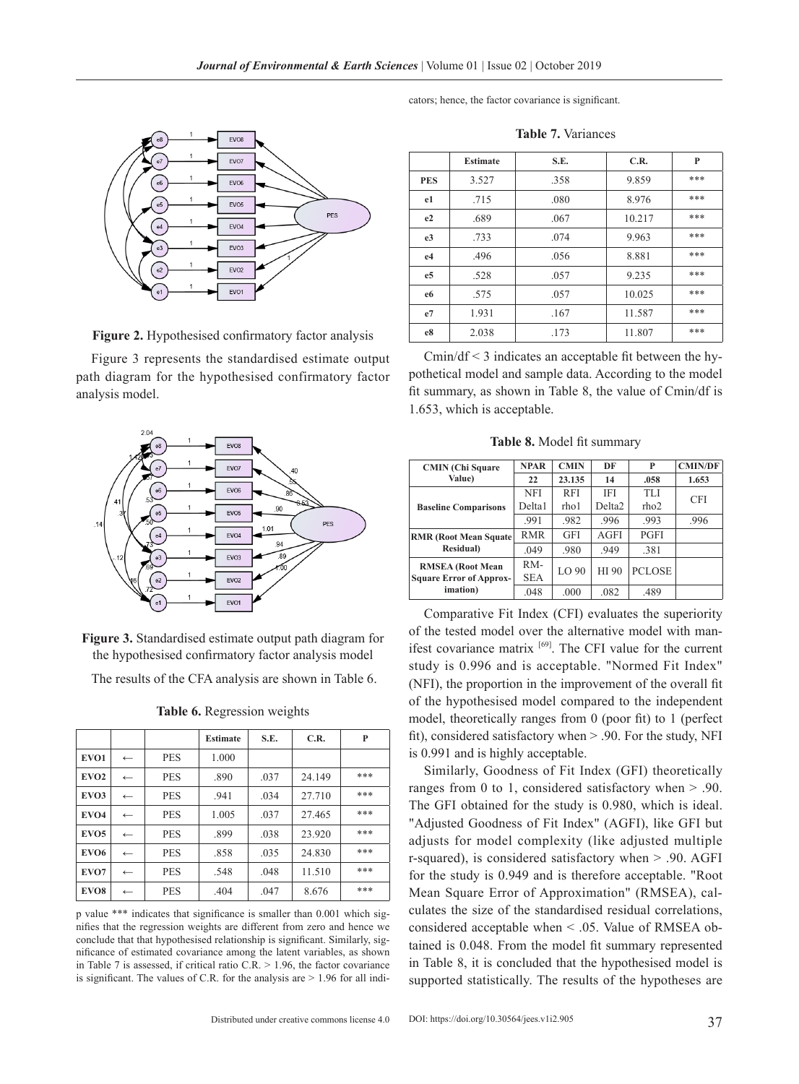

**Figure 2.** Hypothesised confirmatory factor analysis

Figure 3 represents the standardised estimate output path diagram for the hypothesised confirmatory factor analysis model.



**Figure 3.** Standardised estimate output path diagram for the hypothesised confirmatory factor analysis model

The results of the CFA analysis are shown in Table 6.

|                   |              |            | <b>Estimate</b> | S.E. | C.R.   | P   |
|-------------------|--------------|------------|-----------------|------|--------|-----|
| EVO1              | $\leftarrow$ | <b>PES</b> | 1.000           |      |        |     |
| EVO <sub>2</sub>  | $\leftarrow$ | <b>PES</b> | .890            | .037 | 24.149 | *** |
| EV <sub>O</sub> 3 | $\leftarrow$ | <b>PES</b> | .941            | .034 | 27.710 | *** |
| EV <sub>O</sub> 4 | $\leftarrow$ | <b>PES</b> | 1.005           | .037 | 27.465 | *** |
| EV <sub>O5</sub>  | $\leftarrow$ | <b>PES</b> | .899            | .038 | 23.920 | *** |
| EV <sub>O6</sub>  | $\leftarrow$ | <b>PES</b> | .858            | .035 | 24.830 | *** |
| EVO7              | $\leftarrow$ | <b>PES</b> | .548            | .048 | 11.510 | *** |
| EVO <sub>8</sub>  | $\leftarrow$ | <b>PES</b> | .404            | .047 | 8.676  | *** |

**Table 6.** Regression weights

p value \*\*\* indicates that significance is smaller than 0.001 which signifies that the regression weights are different from zero and hence we conclude that that hypothesised relationship is significant. Similarly, significance of estimated covariance among the latent variables, as shown in Table 7 is assessed, if critical ratio  $C.R. > 1.96$ , the factor covariance is significant. The values of C.R. for the analysis are  $> 1.96$  for all indi-

cators; hence, the factor covariance is significant.

**Table 7.** Variances

|                | <b>Estimate</b> | S.E. | C.R.   | P   |
|----------------|-----------------|------|--------|-----|
| <b>PES</b>     | 3.527           | .358 | 9.859  | *** |
| e1             | .715            | .080 | 8.976  | *** |
| e2             | .689            | .067 | 10.217 | *** |
| e <sub>3</sub> | .733            | .074 | 9.963  | *** |
| e <sub>4</sub> | .496            | .056 | 8.881  | *** |
| e <sub>5</sub> | .528            | .057 |        | *** |
| e6             | .575            | .057 | 10.025 | *** |
| e7             | 1.931           | .167 | 11.587 | *** |
| e8             | 2.038           | .173 | 11.807 | *** |

Cmin/df < 3 indicates an acceptable fit between the hypothetical model and sample data. According to the model fit summary, as shown in Table 8, the value of Cmin/df is 1.653, which is acceptable.

**Table 8.** Model fit summary

| <b>CMIN</b> (Chi Square                                   | <b>NPAR</b>       | <b>CMIN</b>      | DF                 | P                | <b>CMIN/DF</b> |
|-----------------------------------------------------------|-------------------|------------------|--------------------|------------------|----------------|
| Value)                                                    | 22                | 23.135           | 14                 | .058             | 1.653          |
|                                                           | <b>NFI</b>        | <b>RFI</b>       | <b>IFI</b>         | <b>TLI</b>       | <b>CFI</b>     |
| <b>Baseline Comparisons</b>                               | Delta1            | rho1             | Delta <sub>2</sub> | rho <sub>2</sub> |                |
|                                                           | .991              | .982             | .996               | .993             | .996           |
| <b>RMR (Root Mean Squate)</b>                             | <b>RMR</b>        | <b>GFI</b>       | AGFI               | <b>PGFI</b>      |                |
| <b>Residual</b> )                                         | .049              | .980             | .949               | .381             |                |
| <b>RMSEA</b> (Root Mean<br><b>Square Error of Approx-</b> | RM-<br><b>SEA</b> | LO <sub>90</sub> | HI 90              | <b>PCLOSE</b>    |                |
| <i>imation</i> )                                          | .048              | .000             | .082               | .489             |                |

Comparative Fit Index (CFI) evaluates the superiority of the tested model over the alternative model with manifest covariance matrix  $[69]$ . The CFI value for the current study is 0.996 and is acceptable. "Normed Fit Index" (NFI), the proportion in the improvement of the overall fit of the hypothesised model compared to the independent model, theoretically ranges from 0 (poor fit) to 1 (perfect fit), considered satisfactory when > .90. For the study, NFI is 0.991 and is highly acceptable.

Similarly, Goodness of Fit Index (GFI) theoretically ranges from 0 to 1, considered satisfactory when > .90. The GFI obtained for the study is 0.980, which is ideal. "Adjusted Goodness of Fit Index" (AGFI), like GFI but adjusts for model complexity (like adjusted multiple r-squared), is considered satisfactory when > .90. AGFI for the study is 0.949 and is therefore acceptable. "Root Mean Square Error of Approximation" (RMSEA), calculates the size of the standardised residual correlations, considered acceptable when < .05. Value of RMSEA obtained is 0.048. From the model fit summary represented in Table 8, it is concluded that the hypothesised model is supported statistically. The results of the hypotheses are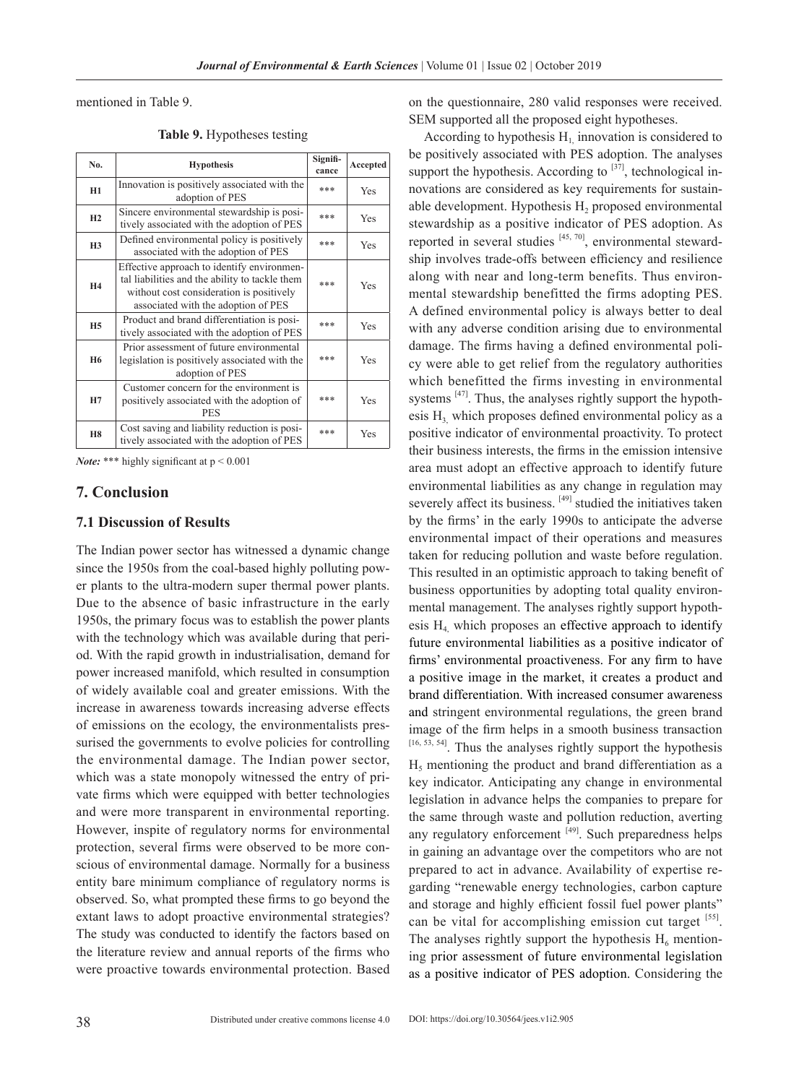mentioned in Table 9.

| N <sub>0</sub> . | <b>Hypothesis</b>                                                                                                                                                               | Signifi-<br>cance | Accepted |
|------------------|---------------------------------------------------------------------------------------------------------------------------------------------------------------------------------|-------------------|----------|
| H1               | Innovation is positively associated with the<br>adoption of PES                                                                                                                 | ***               | Yes      |
| H2               | Sincere environmental stewardship is posi-<br>tively associated with the adoption of PES                                                                                        | ***               | Yes      |
| H3               | Defined environmental policy is positively<br>associated with the adoption of PES                                                                                               | ***               | Yes      |
| H4               | Effective approach to identify environmen-<br>tal liabilities and the ability to tackle them<br>without cost consideration is positively<br>associated with the adoption of PES | ***               | Yes      |
| <b>H5</b>        | Product and brand differentiation is posi-<br>tively associated with the adoption of PES                                                                                        | ***               | Yes      |
| H <sub>6</sub>   | Prior assessment of future environmental<br>legislation is positively associated with the<br>adoption of PES                                                                    | ***               | Yes      |
| H7               | Customer concern for the environment is<br>positively associated with the adoption of<br><b>PES</b>                                                                             | ***               | Yes      |
| H8               | Cost saving and liability reduction is posi-<br>tively associated with the adoption of PES                                                                                      | ***               | Yes      |

**Table 9.** Hypotheses testing

*Note:* \*\*\* highly significant at  $p < 0.001$ 

#### **7. Conclusion**

#### **7.1 Discussion of Results**

The Indian power sector has witnessed a dynamic change since the 1950s from the coal-based highly polluting power plants to the ultra-modern super thermal power plants. Due to the absence of basic infrastructure in the early 1950s, the primary focus was to establish the power plants with the technology which was available during that period. With the rapid growth in industrialisation, demand for power increased manifold, which resulted in consumption of widely available coal and greater emissions. With the increase in awareness towards increasing adverse effects of emissions on the ecology, the environmentalists pressurised the governments to evolve policies for controlling the environmental damage. The Indian power sector, which was a state monopoly witnessed the entry of private firms which were equipped with better technologies and were more transparent in environmental reporting. However, inspite of regulatory norms for environmental protection, several firms were observed to be more conscious of environmental damage. Normally for a business entity bare minimum compliance of regulatory norms is observed. So, what prompted these firms to go beyond the extant laws to adopt proactive environmental strategies? The study was conducted to identify the factors based on the literature review and annual reports of the firms who were proactive towards environmental protection. Based on the questionnaire, 280 valid responses were received. SEM supported all the proposed eight hypotheses.

According to hypothesis  $H_1$  innovation is considered to be positively associated with PES adoption. The analyses support the hypothesis. According to  $[37]$ , technological innovations are considered as key requirements for sustainable development. Hypothesis  $H_2$  proposed environmental stewardship as a positive indicator of PES adoption. As reported in several studies [45, 70], environmental stewardship involves trade-offs between efficiency and resilience along with near and long-term benefits. Thus environmental stewardship benefitted the firms adopting PES. A defined environmental policy is always better to deal with any adverse condition arising due to environmental damage. The firms having a defined environmental policy were able to get relief from the regulatory authorities which benefitted the firms investing in environmental systems <sup>[47]</sup>. Thus, the analyses rightly support the hypothesis  $H<sub>3</sub>$  which proposes defined environmental policy as a positive indicator of environmental proactivity. To protect their business interests, the firms in the emission intensive area must adopt an effective approach to identify future environmental liabilities as any change in regulation may severely affect its business. [49] studied the initiatives taken by the firms' in the early 1990s to anticipate the adverse environmental impact of their operations and measures taken for reducing pollution and waste before regulation. This resulted in an optimistic approach to taking benefit of business opportunities by adopting total quality environmental management. The analyses rightly support hypothesis  $H_4$ , which proposes an effective approach to identify future environmental liabilities as a positive indicator of firms' environmental proactiveness. For any firm to have a positive image in the market, it creates a product and brand differentiation. With increased consumer awareness and stringent environmental regulations, the green brand image of the firm helps in a smooth business transaction [16, 53, 54]. Thus the analyses rightly support the hypothesis  $H<sub>5</sub>$  mentioning the product and brand differentiation as a key indicator. Anticipating any change in environmental legislation in advance helps the companies to prepare for the same through waste and pollution reduction, averting any regulatory enforcement  $[49]$ . Such preparedness helps in gaining an advantage over the competitors who are not prepared to act in advance. Availability of expertise regarding "renewable energy technologies, carbon capture and storage and highly efficient fossil fuel power plants" can be vital for accomplishing emission cut target  $[55]$ . The analyses rightly support the hypothesis  $H_6$  mentioning prior assessment of future environmental legislation as a positive indicator of PES adoption. Considering the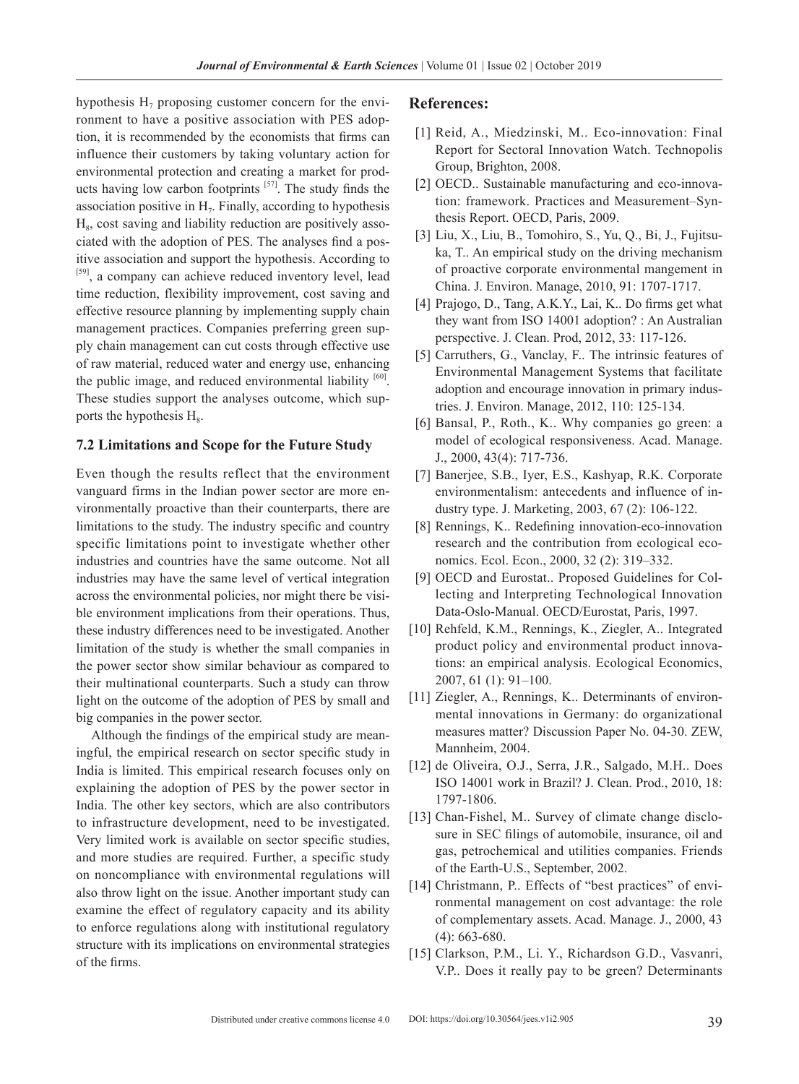hypothesis  $H_7$  proposing customer concern for the environment to have a positive association with PES adoption, it is recommended by the economists that firms can influence their customers by taking voluntary action for environmental protection and creating a market for products having low carbon footprints [57]. The study finds the association positive in  $H_7$ . Finally, according to hypothesis  $H<sub>8</sub>$ , cost saving and liability reduction are positively associated with the adoption of PES. The analyses find a positive association and support the hypothesis. According to [59], a company can achieve reduced inventory level, lead time reduction, flexibility improvement, cost saving and effective resource planning by implementing supply chain management practices. Companies preferring green supply chain management can cut costs through effective use of raw material, reduced water and energy use, enhancing the public image, and reduced environmental liability  $[60]$ . These studies support the analyses outcome, which supports the hypothesis  $H<sub>8</sub>$ .

#### **7.2 Limitations and Scope for the Future Study**

Even though the results reflect that the environment vanguard firms in the Indian power sector are more environmentally proactive than their counterparts, there are limitations to the study. The industry specific and country specific limitations point to investigate whether other industries and countries have the same outcome. Not all industries may have the same level of vertical integration across the environmental policies, nor might there be visible environment implications from their operations. Thus, these industry differences need to be investigated. Another limitation of the study is whether the small companies in the power sector show similar behaviour as compared to their multinational counterparts. Such a study can throw light on the outcome of the adoption of PES by small and big companies in the power sector.

Although the findings of the empirical study are meaningful, the empirical research on sector specific study in India is limited. This empirical research focuses only on explaining the adoption of PES by the power sector in India. The other key sectors, which are also contributors to infrastructure development, need to be investigated. Very limited work is available on sector specific studies, and more studies are required. Further, a specific study on noncompliance with environmental regulations will also throw light on the issue. Another important study can examine the effect of regulatory capacity and its ability to enforce regulations along with institutional regulatory structure with its implications on environmental strategies of the firms.

#### **References:**

- [1] Reid, A., Miedzinski, M.. Eco-innovation: Final Report for Sectoral Innovation Watch. Technopolis Group, Brighton, 2008.
- [2] OECD.. Sustainable manufacturing and eco-innovation: framework. Practices and Measurement–Synthesis Report. OECD, Paris, 2009.
- [3] Liu, X., Liu, B., Tomohiro, S., Yu, Q., Bi, J., Fujitsuka, T.. An empirical study on the driving mechanism of proactive corporate environmental mangement in China. J. Environ. Manage, 2010, 91: 1707-1717.
- [4] Prajogo, D., Tang, A.K.Y., Lai, K.. Do firms get what they want from ISO 14001 adoption? : An Australian perspective. J. Clean. Prod, 2012, 33: 117-126.
- [5] Carruthers, G., Vanclay, F.. The intrinsic features of Environmental Management Systems that facilitate adoption and encourage innovation in primary industries. J. Environ. Manage, 2012, 110: 125-134.
- [6] Bansal, P., Roth., K.. Why companies go green: a model of ecological responsiveness. Acad. Manage. J., 2000, 43(4): 717-736.
- [7] Banerjee, S.B., Iyer, E.S., Kashyap, R.K. Corporate environmentalism: antecedents and influence of industry type. J. Marketing, 2003, 67 (2): 106-122.
- [8] Rennings, K.. Redefining innovation-eco-innovation research and the contribution from ecological economics. Ecol. Econ., 2000, 32 (2): 319–332.
- [9] OECD and Eurostat.. Proposed Guidelines for Collecting and Interpreting Technological Innovation Data-Oslo-Manual. OECD/Eurostat, Paris, 1997.
- [10] Rehfeld, K.M., Rennings, K., Ziegler, A.. Integrated product policy and environmental product innovations: an empirical analysis. Ecological Economics, 2007, 61 (1): 91–100.
- [11] Ziegler, A., Rennings, K.. Determinants of environmental innovations in Germany: do organizational measures matter? Discussion Paper No. 04-30. ZEW, Mannheim, 2004.
- [12] de Oliveira, O.J., Serra, J.R., Salgado, M.H.. Does ISO 14001 work in Brazil? J. Clean. Prod., 2010, 18: 1797-1806.
- [13] Chan-Fishel, M.. Survey of climate change disclosure in SEC filings of automobile, insurance, oil and gas, petrochemical and utilities companies. Friends of the Earth-U.S., September, 2002.
- [14] Christmann, P.. Effects of "best practices" of environmental management on cost advantage: the role of complementary assets. Acad. Manage. J., 2000, 43 (4): 663-680.
- [15] Clarkson, P.M., Li. Y., Richardson G.D., Vasvanri, V.P.. Does it really pay to be green? Determinants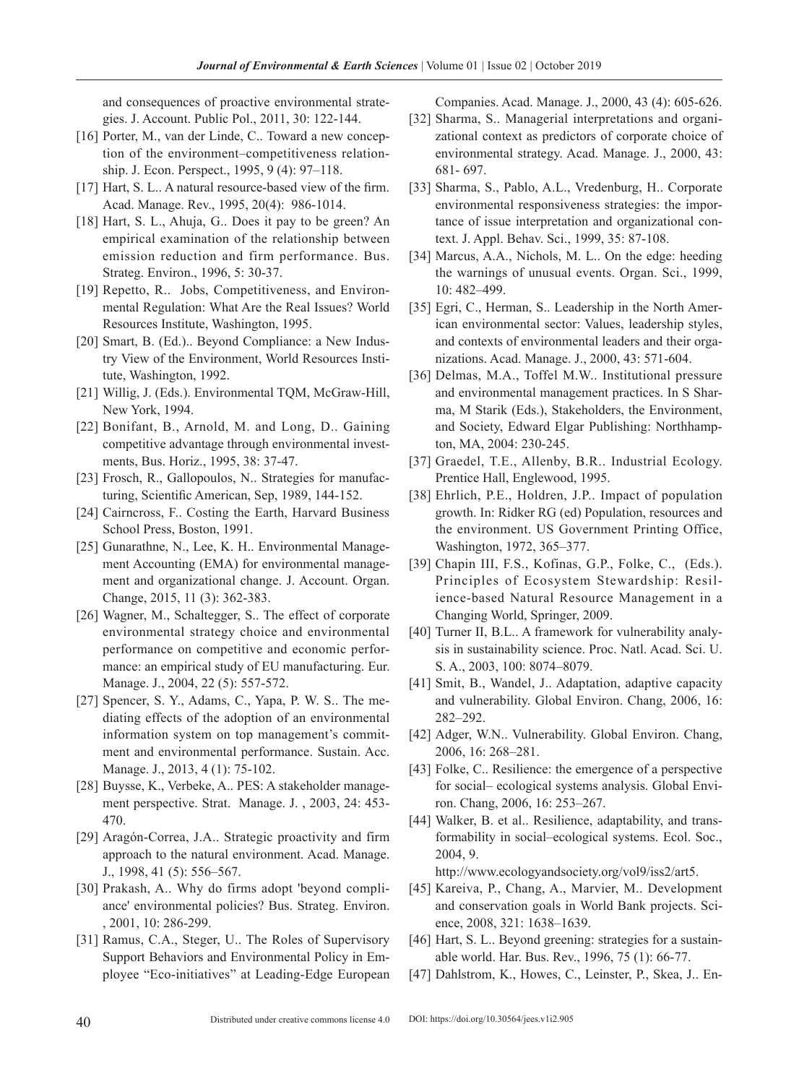and consequences of proactive environmental strategies. J. Account. Public Pol., 2011, 30: 122-144.

- [16] Porter, M., van der Linde, C.. Toward a new conception of the environment–competitiveness relationship. J. Econ. Perspect., 1995, 9 (4): 97–118.
- [17] Hart, S. L.. A natural resource-based view of the firm. Acad. Manage. Rev., 1995, 20(4): 986-1014.
- [18] Hart, S. L., Ahuja, G.. Does it pay to be green? An empirical examination of the relationship between emission reduction and firm performance. Bus. Strateg. Environ., 1996, 5: 30-37.
- [19] Repetto, R.. Jobs, Competitiveness, and Environmental Regulation: What Are the Real Issues? World Resources Institute, Washington, 1995.
- [20] Smart, B. (Ed.).. Beyond Compliance: a New Industry View of the Environment, World Resources Institute, Washington, 1992.
- [21] Willig, J. (Eds.). Environmental TQM, McGraw-Hill, New York, 1994.
- [22] Bonifant, B., Arnold, M. and Long, D.. Gaining competitive advantage through environmental investments, Bus. Horiz., 1995, 38: 37-47.
- [23] Frosch, R., Gallopoulos, N.. Strategies for manufacturing, Scientific American, Sep, 1989, 144-152.
- [24] Cairncross, F.. Costing the Earth, Harvard Business School Press, Boston, 1991.
- [25] Gunarathne, N., Lee, K. H.. Environmental Management Accounting (EMA) for environmental management and organizational change. J. Account. Organ. Change, 2015, 11 (3): 362-383.
- [26] Wagner, M., Schaltegger, S.. The effect of corporate environmental strategy choice and environmental performance on competitive and economic performance: an empirical study of EU manufacturing. Eur. Manage. J., 2004, 22 (5): 557-572.
- [27] Spencer, S. Y., Adams, C., Yapa, P. W. S.. The mediating effects of the adoption of an environmental information system on top management's commitment and environmental performance. Sustain. Acc. Manage. J., 2013, 4 (1): 75-102.
- [28] Buysse, K., Verbeke, A.. PES: A stakeholder management perspective. Strat. Manage. J. , 2003, 24: 453- 470.
- [29] Aragón-Correa, J.A.. Strategic proactivity and firm approach to the natural environment. Acad. Manage. J., 1998, 41 (5): 556–567.
- [30] Prakash, A.. Why do firms adopt 'beyond compliance' environmental policies? Bus. Strateg. Environ. , 2001, 10: 286-299.
- [31] Ramus, C.A., Steger, U.. The Roles of Supervisory Support Behaviors and Environmental Policy in Employee "Eco-initiatives" at Leading-Edge European

Companies. Acad. Manage. J., 2000, 43 (4): 605-626.

- [32] Sharma, S.. Managerial interpretations and organizational context as predictors of corporate choice of environmental strategy. Acad. Manage. J., 2000, 43: 681- 697.
- [33] Sharma, S., Pablo, A.L., Vredenburg, H.. Corporate environmental responsiveness strategies: the importance of issue interpretation and organizational context. J. Appl. Behav. Sci., 1999, 35: 87-108.
- [34] Marcus, A.A., Nichols, M. L.. On the edge: heeding the warnings of unusual events. Organ. Sci., 1999, 10: 482–499.
- [35] Egri, C., Herman, S.. Leadership in the North American environmental sector: Values, leadership styles, and contexts of environmental leaders and their organizations. Acad. Manage. J., 2000, 43: 571-604.
- [36] Delmas, M.A., Toffel M.W.. Institutional pressure and environmental management practices. In S Sharma, M Starik (Eds.), Stakeholders, the Environment, and Society, Edward Elgar Publishing: Northhampton, MA, 2004: 230-245.
- [37] Graedel, T.E., Allenby, B.R.. Industrial Ecology. Prentice Hall, Englewood, 1995.
- [38] Ehrlich, P.E., Holdren, J.P.. Impact of population growth. In: Ridker RG (ed) Population, resources and the environment. US Government Printing Office, Washington, 1972, 365–377.
- [39] Chapin III, F.S., Kofinas, G.P., Folke, C., (Eds.). Principles of Ecosystem Stewardship: Resilience-based Natural Resource Management in a Changing World, Springer, 2009.
- [40] Turner II, B.L.. A framework for vulnerability analysis in sustainability science. Proc. Natl. Acad. Sci. U. S. A., 2003, 100: 8074–8079.
- [41] Smit, B., Wandel, J.. Adaptation, adaptive capacity and vulnerability. Global Environ. Chang, 2006, 16: 282–292.
- [42] Adger, W.N.. Vulnerability. Global Environ. Chang, 2006, 16: 268–281.
- [43] Folke, C.. Resilience: the emergence of a perspective for social– ecological systems analysis. Global Environ. Chang, 2006, 16: 253–267.
- [44] Walker, B. et al., Resilience, adaptability, and transformability in social–ecological systems. Ecol. Soc., 2004, 9.

http://www.ecologyandsociety.org/vol9/iss2/art5.

- [45] Kareiva, P., Chang, A., Marvier, M.. Development and conservation goals in World Bank projects. Science, 2008, 321: 1638–1639.
- [46] Hart, S. L.. Beyond greening: strategies for a sustainable world. Har. Bus. Rev., 1996, 75 (1): 66-77.
- [47] Dahlstrom, K., Howes, C., Leinster, P., Skea, J.. En-